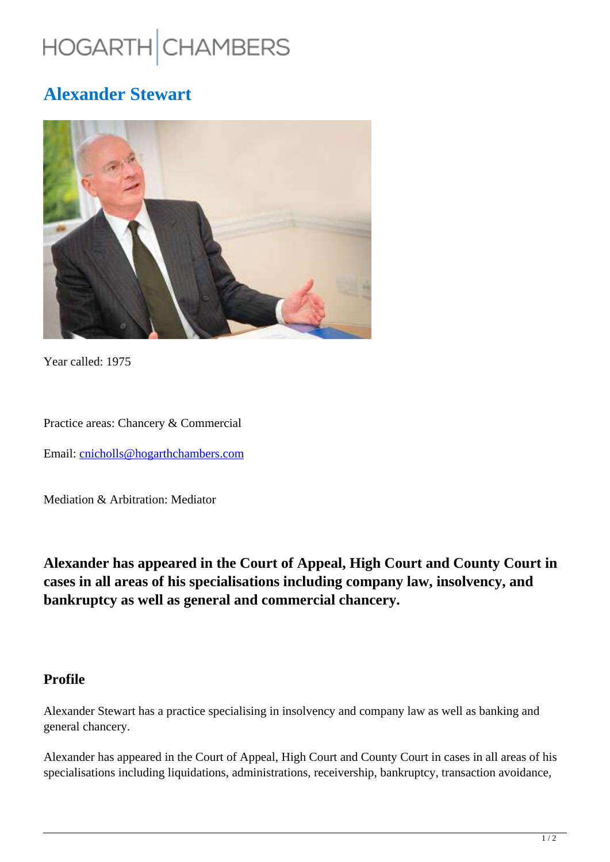# HOGARTH CHAMBERS

## **Alexander Stewart**



Year called: 1975

Practice areas: Chancery & Commercial

Email: cnicholls@hogarthchambers.com

Mediation & Arbitration: Mediator

**Alexander has appeared in the Court of Appeal, High Court and County Court in cases in all areas of his specialisations including company law, insolvency, and bankruptcy as well as general and commercial chancery.**

#### **Profile**

Alexander Stewart has a practice specialising in insolvency and company law as well as banking and general chancery.

Alexander has appeared in the Court of Appeal, High Court and County Court in cases in all areas of his specialisations including liquidations, administrations, receivership, bankruptcy, transaction avoidance,